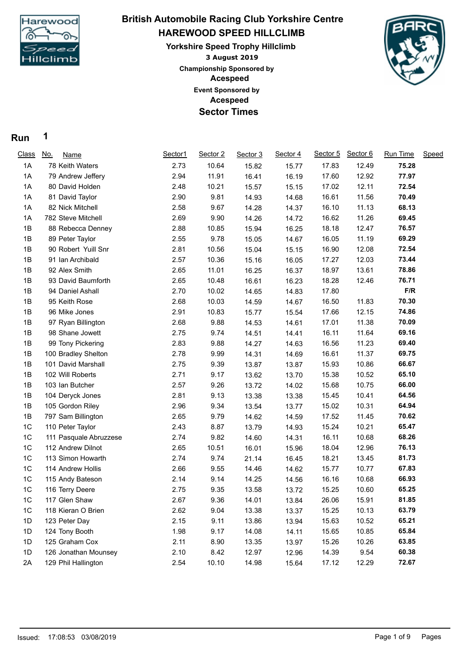

## **HAREWOOD SPEED HILLCLIMB British Automobile Racing Club Yorkshire Centre**

**3 August 2019 Yorkshire Speed Trophy Hillclimb Acespeed Acespeed Event Sponsored by Championship Sponsored by Sector Times**



## **Run 1**

| <b>Class</b>   | <u>No.</u><br><b>Name</b> | Sector1 | Sector 2 | Sector 3 | Sector 4 | Sector 5 | Sector 6 | <b>Run Time</b> | Speed |
|----------------|---------------------------|---------|----------|----------|----------|----------|----------|-----------------|-------|
| 1A             | 78 Keith Waters           | 2.73    | 10.64    | 15.82    | 15.77    | 17.83    | 12.49    | 75.28           |       |
| 1A             | 79 Andrew Jeffery         | 2.94    | 11.91    | 16.41    | 16.19    | 17.60    | 12.92    | 77.97           |       |
| 1A             | 80 David Holden           | 2.48    | 10.21    | 15.57    | 15.15    | 17.02    | 12.11    | 72.54           |       |
| 1A             | 81 David Taylor           | 2.90    | 9.81     | 14.93    | 14.68    | 16.61    | 11.56    | 70.49           |       |
| 1A             | 82 Nick Mitchell          | 2.58    | 9.67     | 14.28    | 14.37    | 16.10    | 11.13    | 68.13           |       |
| 1A             | 782 Steve Mitchell        | 2.69    | 9.90     | 14.26    | 14.72    | 16.62    | 11.26    | 69.45           |       |
| 1B             | 88 Rebecca Denney         | 2.88    | 10.85    | 15.94    | 16.25    | 18.18    | 12.47    | 76.57           |       |
| 1B             | 89 Peter Taylor           | 2.55    | 9.78     | 15.05    | 14.67    | 16.05    | 11.19    | 69.29           |       |
| 1B             | 90 Robert Yuill Snr       | 2.81    | 10.56    | 15.04    | 15.15    | 16.90    | 12.08    | 72.54           |       |
| 1B             | 91 Ian Archibald          | 2.57    | 10.36    | 15.16    | 16.05    | 17.27    | 12.03    | 73.44           |       |
| 1B             | 92 Alex Smith             | 2.65    | 11.01    | 16.25    | 16.37    | 18.97    | 13.61    | 78.86           |       |
| 1B             | 93 David Baumforth        | 2.65    | 10.48    | 16.61    | 16.23    | 18.28    | 12.46    | 76.71           |       |
| 1B             | 94 Daniel Ashall          | 2.70    | 10.02    | 14.65    | 14.83    | 17.80    |          | F/R             |       |
| 1B             | 95 Keith Rose             | 2.68    | 10.03    | 14.59    | 14.67    | 16.50    | 11.83    | 70.30           |       |
| 1B             | 96 Mike Jones             | 2.91    | 10.83    | 15.77    | 15.54    | 17.66    | 12.15    | 74.86           |       |
| 1B             | 97 Ryan Billington        | 2.68    | 9.88     | 14.53    | 14.61    | 17.01    | 11.38    | 70.09           |       |
| 1B             | 98 Shane Jowett           | 2.75    | 9.74     | 14.51    | 14.41    | 16.11    | 11.64    | 69.16           |       |
| 1B             | 99 Tony Pickering         | 2.83    | 9.88     | 14.27    | 14.63    | 16.56    | 11.23    | 69.40           |       |
| 1B             | 100 Bradley Shelton       | 2.78    | 9.99     | 14.31    | 14.69    | 16.61    | 11.37    | 69.75           |       |
| 1B             | 101 David Marshall        | 2.75    | 9.39     | 13.87    | 13.87    | 15.93    | 10.86    | 66.67           |       |
| 1B             | 102 Will Roberts          | 2.71    | 9.17     | 13.62    | 13.70    | 15.38    | 10.52    | 65.10           |       |
| 1B             | 103 Ian Butcher           | 2.57    | 9.26     | 13.72    | 14.02    | 15.68    | 10.75    | 66.00           |       |
| 1B             | 104 Deryck Jones          | 2.81    | 9.13     | 13.38    | 13.38    | 15.45    | 10.41    | 64.56           |       |
| 1B             | 105 Gordon Riley          | 2.96    | 9.34     | 13.54    | 13.77    | 15.02    | 10.31    | 64.94           |       |
| 1B             | 797 Sam Billington        | 2.65    | 9.79     | 14.62    | 14.59    | 17.52    | 11.45    | 70.62           |       |
| 1C             | 110 Peter Taylor          | 2.43    | 8.87     | 13.79    | 14.93    | 15.24    | 10.21    | 65.47           |       |
| 1C             | 111 Pasquale Abruzzese    | 2.74    | 9.82     | 14.60    | 14.31    | 16.11    | 10.68    | 68.26           |       |
| 1C             | 112 Andrew Dilnot         | 2.65    | 10.51    | 16.01    | 15.96    | 18.04    | 12.96    | 76.13           |       |
| 1C             | 113 Simon Howarth         | 2.74    | 9.74     | 21.14    | 16.45    | 18.21    | 13.45    | 81.73           |       |
| 1C             | 114 Andrew Hollis         | 2.66    | 9.55     | 14.46    | 14.62    | 15.77    | 10.77    | 67.83           |       |
| 1C             | 115 Andy Bateson          | 2.14    | 9.14     | 14.25    | 14.56    | 16.16    | 10.68    | 66.93           |       |
| 1 <sup>C</sup> | 116 Terry Deere           | 2.75    | 9.35     | 13.58    | 13.72    | 15.25    | 10.60    | 65.25           |       |
| 1C             | 117 Glen Shaw             | 2.67    | 9.36     | 14.01    | 13.84    | 26.06    | 15.91    | 81.85           |       |
| 1C             | 118 Kieran O Brien        | 2.62    | 9.04     | 13.38    | 13.37    | 15.25    | 10.13    | 63.79           |       |
| 1D             | 123 Peter Day             | 2.15    | 9.11     | 13.86    | 13.94    | 15.63    | 10.52    | 65.21           |       |
| 1D             | 124 Tony Booth            | 1.98    | 9.17     | 14.08    | 14.11    | 15.65    | 10.85    | 65.84           |       |
| 1D             | 125 Graham Cox            | 2.11    | 8.90     | 13.35    | 13.97    | 15.26    | 10.26    | 63.85           |       |
| 1D             | 126 Jonathan Mounsey      | 2.10    | 8.42     | 12.97    | 12.96    | 14.39    | 9.54     | 60.38           |       |
| 2A             | 129 Phil Hallington       | 2.54    | 10.10    | 14.98    | 15.64    | 17.12    | 12.29    | 72.67           |       |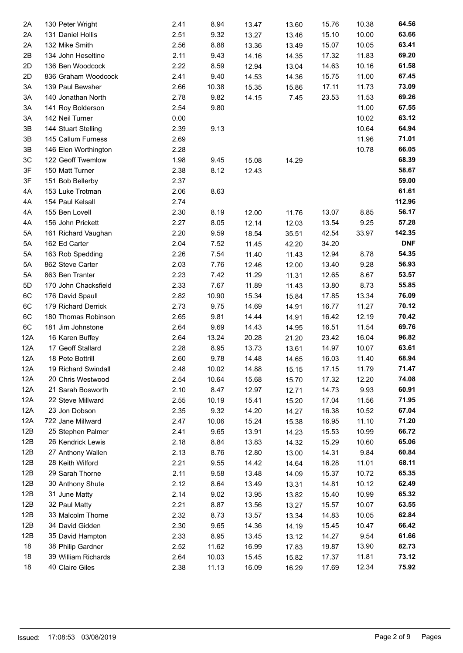| 2A  | 130 Peter Wright     | 2.41 | 8.94  | 13.47 | 13.60 | 15.76 | 10.38 | 64.56      |
|-----|----------------------|------|-------|-------|-------|-------|-------|------------|
| 2A  | 131 Daniel Hollis    | 2.51 | 9.32  | 13.27 | 13.46 | 15.10 | 10.00 | 63.66      |
| 2A  | 132 Mike Smith       | 2.56 | 8.88  | 13.36 | 13.49 | 15.07 | 10.05 | 63.41      |
| 2B  | 134 John Heseltine   | 2.11 | 9.43  | 14.16 | 14.35 | 17.32 | 11.83 | 69.20      |
| 2D  | 136 Ben Woodcock     | 2.22 | 8.59  | 12.94 | 13.04 | 14.63 | 10.16 | 61.58      |
| 2D  | 836 Graham Woodcock  | 2.41 | 9.40  | 14.53 | 14.36 | 15.75 | 11.00 | 67.45      |
| 3A  | 139 Paul Bewsher     | 2.66 | 10.38 | 15.35 | 15.86 | 17.11 | 11.73 | 73.09      |
| 3A  | 140 Jonathan North   | 2.78 | 9.82  | 14.15 | 7.45  | 23.53 | 11.53 | 69.26      |
| 3A  | 141 Roy Bolderson    | 2.54 | 9.80  |       |       |       | 11.00 | 67.55      |
| 3A  | 142 Neil Turner      | 0.00 |       |       |       |       | 10.02 | 63.12      |
| 3B  | 144 Stuart Stelling  | 2.39 | 9.13  |       |       |       | 10.64 | 64.94      |
| 3B  | 145 Callum Furness   | 2.69 |       |       |       |       | 11.96 | 71.01      |
| 3B  | 146 Elen Worthington | 2.28 |       |       |       |       | 10.78 | 66.05      |
| 3C  | 122 Geoff Twemlow    | 1.98 | 9.45  | 15.08 | 14.29 |       |       | 68.39      |
| 3F  | 150 Matt Turner      | 2.38 | 8.12  | 12.43 |       |       |       | 58.67      |
| 3F  | 151 Bob Bellerby     | 2.37 |       |       |       |       |       | 59.00      |
| 4A  | 153 Luke Trotman     | 2.06 | 8.63  |       |       |       |       | 61.61      |
| 4A  | 154 Paul Kelsall     | 2.74 |       |       |       |       |       | 112.96     |
| 4A  | 155 Ben Lovell       | 2.30 | 8.19  | 12.00 | 11.76 | 13.07 | 8.85  | 56.17      |
| 4A  | 156 John Prickett    | 2.27 | 8.05  | 12.14 | 12.03 | 13.54 | 9.25  | 57.28      |
| 5A  | 161 Richard Vaughan  | 2.20 | 9.59  | 18.54 | 35.51 | 42.54 | 33.97 | 142.35     |
| 5A  | 162 Ed Carter        | 2.04 | 7.52  | 11.45 | 42.20 | 34.20 |       | <b>DNF</b> |
| 5A  | 163 Rob Spedding     | 2.26 | 7.54  | 11.40 | 11.43 | 12.94 | 8.78  | 54.35      |
| 5A  | 862 Steve Carter     | 2.03 | 7.76  | 12.46 | 12.00 | 13.40 | 9.28  | 56.93      |
| 5A  | 863 Ben Tranter      | 2.23 | 7.42  | 11.29 | 11.31 | 12.65 | 8.67  | 53.57      |
| 5D  | 170 John Chacksfield | 2.33 | 7.67  | 11.89 | 11.43 | 13.80 | 8.73  | 55.85      |
| 6C  | 176 David Spaull     | 2.82 | 10.90 | 15.34 | 15.84 | 17.85 | 13.34 | 76.09      |
| 6C  | 179 Richard Derrick  | 2.73 | 9.75  | 14.69 | 14.91 | 16.77 | 11.27 | 70.12      |
| 6C  | 180 Thomas Robinson  | 2.65 | 9.81  | 14.44 | 14.91 | 16.42 | 12.19 | 70.42      |
| 6C  | 181 Jim Johnstone    | 2.64 | 9.69  | 14.43 | 14.95 | 16.51 | 11.54 | 69.76      |
| 12A | 16 Karen Buffey      | 2.64 | 13.24 | 20.28 | 21.20 | 23.42 | 16.04 | 96.82      |
| 12A | 17 Geoff Stallard    | 2.28 | 8.95  | 13.73 | 13.61 | 14.97 | 10.07 | 63.61      |
| 12A | 18 Pete Bottrill     | 2.60 | 9.78  | 14.48 | 14.65 | 16.03 | 11.40 | 68.94      |
| 12A | 19 Richard Swindall  | 2.48 | 10.02 | 14.88 | 15.15 | 17.15 | 11.79 | 71.47      |
| 12A | 20 Chris Westwood    | 2.54 | 10.64 | 15.68 | 15.70 | 17.32 | 12.20 | 74.08      |
| 12A | 21 Sarah Bosworth    | 2.10 | 8.47  | 12.97 | 12.71 | 14.73 | 9.93  | 60.91      |
| 12A | 22 Steve Millward    | 2.55 | 10.19 | 15.41 | 15.20 | 17.04 | 11.56 | 71.95      |
| 12A | 23 Jon Dobson        | 2.35 | 9.32  | 14.20 | 14.27 | 16.38 | 10.52 | 67.04      |
| 12A | 722 Jane Millward    | 2.47 | 10.06 | 15.24 | 15.38 | 16.95 | 11.10 | 71.20      |
| 12B | 25 Stephen Palmer    | 2.41 | 9.65  | 13.91 |       | 15.53 | 10.99 | 66.72      |
| 12B | 26 Kendrick Lewis    | 2.18 | 8.84  |       | 14.23 | 15.29 | 10.60 | 65.06      |
| 12B |                      |      |       | 13.83 | 14.32 |       |       | 60.84      |
|     | 27 Anthony Wallen    | 2.13 | 8.76  | 12.80 | 13.00 | 14.31 | 9.84  |            |
| 12B | 28 Keith Wilford     | 2.21 | 9.55  | 14.42 | 14.64 | 16.28 | 11.01 | 68.11      |
| 12B | 29 Sarah Thorne      | 2.11 | 9.58  | 13.48 | 14.09 | 15.37 | 10.72 | 65.35      |
| 12B | 30 Anthony Shute     | 2.12 | 8.64  | 13.49 | 13.31 | 14.81 | 10.12 | 62.49      |
| 12B | 31 June Matty        | 2.14 | 9.02  | 13.95 | 13.82 | 15.40 | 10.99 | 65.32      |
| 12B | 32 Paul Matty        | 2.21 | 8.87  | 13.56 | 13.27 | 15.57 | 10.07 | 63.55      |
| 12B | 33 Malcolm Thorne    | 2.32 | 8.73  | 13.57 | 13.34 | 14.83 | 10.05 | 62.84      |
| 12B | 34 David Gidden      | 2.30 | 9.65  | 14.36 | 14.19 | 15.45 | 10.47 | 66.42      |
| 12B | 35 David Hampton     | 2.33 | 8.95  | 13.45 | 13.12 | 14.27 | 9.54  | 61.66      |
| 18  | 38 Philip Gardner    | 2.52 | 11.62 | 16.99 | 17.83 | 19.87 | 13.90 | 82.73      |
| 18  | 39 William Richards  | 2.64 | 10.03 | 15.45 | 15.82 | 17.37 | 11.81 | 73.12      |
| 18  | 40 Claire Giles      | 2.38 | 11.13 | 16.09 | 16.29 | 17.69 | 12.34 | 75.92      |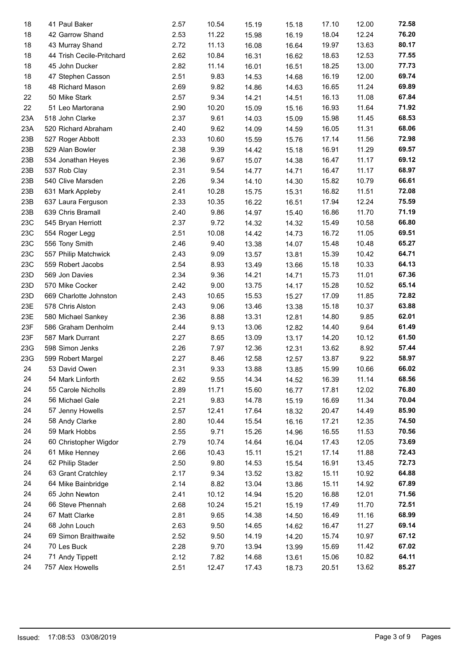| 18  | 41 Paul Baker             | 2.57 | 10.54 | 15.19 | 15.18 | 17.10 | 12.00 | 72.58 |
|-----|---------------------------|------|-------|-------|-------|-------|-------|-------|
| 18  | 42 Garrow Shand           | 2.53 | 11.22 | 15.98 | 16.19 | 18.04 | 12.24 | 76.20 |
| 18  | 43 Murray Shand           | 2.72 | 11.13 | 16.08 | 16.64 | 19.97 | 13.63 | 80.17 |
| 18  | 44 Trish Cecile-Pritchard | 2.62 | 10.84 | 16.31 | 16.62 | 18.63 | 12.53 | 77.55 |
| 18  | 45 John Ducker            | 2.82 | 11.14 | 16.01 | 16.51 | 18.25 | 13.00 | 77.73 |
| 18  | 47 Stephen Casson         | 2.51 | 9.83  | 14.53 | 14.68 | 16.19 | 12.00 | 69.74 |
| 18  | 48 Richard Mason          | 2.69 | 9.82  | 14.86 | 14.63 | 16.65 | 11.24 | 69.89 |
| 22  | 50 Mike Stark             | 2.57 | 9.34  | 14.21 | 14.51 | 16.13 | 11.08 | 67.84 |
| 22  | 51 Leo Martorana          | 2.90 | 10.20 | 15.09 | 15.16 | 16.93 | 11.64 | 71.92 |
| 23A | 518 John Clarke           | 2.37 | 9.61  | 14.03 | 15.09 | 15.98 | 11.45 | 68.53 |
| 23A | 520 Richard Abraham       | 2.40 | 9.62  | 14.09 | 14.59 | 16.05 | 11.31 | 68.06 |
| 23B | 527 Roger Abbott          | 2.33 | 10.60 | 15.59 | 15.76 | 17.14 | 11.56 | 72.98 |
| 23B | 529 Alan Bowler           | 2.38 | 9.39  | 14.42 | 15.18 | 16.91 | 11.29 | 69.57 |
| 23B | 534 Jonathan Heyes        | 2.36 | 9.67  | 15.07 | 14.38 | 16.47 | 11.17 | 69.12 |
| 23B | 537 Rob Clay              | 2.31 | 9.54  | 14.77 | 14.71 | 16.47 | 11.17 | 68.97 |
| 23B | 540 Clive Marsden         | 2.26 | 9.34  | 14.10 | 14.30 | 15.82 | 10.79 | 66.61 |
| 23B | 631 Mark Appleby          | 2.41 | 10.28 | 15.75 | 15.31 | 16.82 | 11.51 | 72.08 |
| 23B | 637 Laura Ferguson        | 2.33 | 10.35 | 16.22 | 16.51 | 17.94 | 12.24 | 75.59 |
| 23B | 639 Chris Bramall         | 2.40 | 9.86  | 14.97 | 15.40 | 16.86 | 11.70 | 71.19 |
| 23C | 545 Bryan Herriott        | 2.37 | 9.72  | 14.32 | 14.32 | 15.49 | 10.58 | 66.80 |
| 23C | 554 Roger Legg            | 2.51 | 10.08 | 14.42 | 14.73 | 16.72 | 11.05 | 69.51 |
| 23C | 556 Tony Smith            | 2.46 | 9.40  | 13.38 | 14.07 | 15.48 | 10.48 | 65.27 |
| 23C | 557 Philip Matchwick      | 2.43 | 9.09  | 13.57 | 13.81 | 15.39 | 10.42 | 64.71 |
| 23C | 559 Robert Jacobs         | 2.54 | 8.93  | 13.49 | 13.66 | 15.18 | 10.33 | 64.13 |
| 23D | 569 Jon Davies            | 2.34 | 9.36  | 14.21 | 14.71 | 15.73 | 11.01 | 67.36 |
| 23D | 570 Mike Cocker           | 2.42 | 9.00  | 13.75 | 14.17 | 15.28 | 10.52 | 65.14 |
| 23D | 669 Charlotte Johnston    | 2.43 | 10.65 | 15.53 | 15.27 | 17.09 | 11.85 | 72.82 |
| 23E | 578 Chris Alston          | 2.43 | 9.06  | 13.46 | 13.38 | 15.18 | 10.37 | 63.88 |
| 23E | 580 Michael Sankey        | 2.36 | 8.88  | 13.31 | 12.81 | 14.80 | 9.85  | 62.01 |
| 23F | 586 Graham Denholm        | 2.44 | 9.13  | 13.06 | 12.82 | 14.40 | 9.64  | 61.49 |
| 23F | 587 Mark Durrant          | 2.27 | 8.65  | 13.09 | 13.17 | 14.20 | 10.12 | 61.50 |
| 23G | 598 Simon Jenks           | 2.26 | 7.97  | 12.36 | 12.31 | 13.62 | 8.92  | 57.44 |
| 23G | 599 Robert Margel         | 2.27 | 8.46  | 12.58 | 12.57 | 13.87 | 9.22  | 58.97 |
| 24  | 53 David Owen             | 2.31 | 9.33  | 13.88 | 13.85 | 15.99 | 10.66 | 66.02 |
| 24  | 54 Mark Linforth          | 2.62 | 9.55  | 14.34 | 14.52 | 16.39 | 11.14 | 68.56 |
| 24  | 55 Carole Nicholls        | 2.89 | 11.71 | 15.60 | 16.77 | 17.81 | 12.02 | 76.80 |
| 24  | 56 Michael Gale           | 2.21 | 9.83  | 14.78 | 15.19 | 16.69 | 11.34 | 70.04 |
| 24  | 57 Jenny Howells          | 2.57 | 12.41 | 17.64 | 18.32 | 20.47 | 14.49 | 85.90 |
| 24  | 58 Andy Clarke            | 2.80 | 10.44 | 15.54 | 16.16 | 17.21 | 12.35 | 74.50 |
| 24  | 59 Mark Hobbs             | 2.55 | 9.71  | 15.26 | 14.96 | 16.55 | 11.53 | 70.56 |
| 24  | 60 Christopher Wigdor     | 2.79 | 10.74 | 14.64 | 16.04 | 17.43 | 12.05 | 73.69 |
| 24  | 61 Mike Henney            | 2.66 | 10.43 | 15.11 | 15.21 | 17.14 | 11.88 | 72.43 |
| 24  | 62 Philip Stader          | 2.50 | 9.80  | 14.53 | 15.54 | 16.91 | 13.45 | 72.73 |
| 24  | 63 Grant Cratchley        | 2.17 | 9.34  | 13.52 | 13.82 | 15.11 | 10.92 | 64.88 |
| 24  | 64 Mike Bainbridge        | 2.14 | 8.82  | 13.04 | 13.86 | 15.11 | 14.92 | 67.89 |
| 24  | 65 John Newton            | 2.41 | 10.12 | 14.94 | 15.20 | 16.88 | 12.01 | 71.56 |
| 24  | 66 Steve Phennah          | 2.68 | 10.24 | 15.21 | 15.19 | 17.49 | 11.70 | 72.51 |
| 24  | 67 Matt Clarke            | 2.81 | 9.65  |       |       | 16.49 | 11.16 | 68.99 |
| 24  | 68 John Louch             | 2.63 | 9.50  | 14.38 | 14.50 | 16.47 | 11.27 | 69.14 |
| 24  | 69 Simon Braithwaite      | 2.52 |       | 14.65 | 14.62 | 15.74 |       | 67.12 |
|     |                           |      | 9.50  | 14.19 | 14.20 |       | 10.97 |       |
| 24  | 70 Les Buck               | 2.28 | 9.70  | 13.94 | 13.99 | 15.69 | 11.42 | 67.02 |
| 24  | 71 Andy Tippett           | 2.12 | 7.82  | 14.68 | 13.61 | 15.06 | 10.82 | 64.11 |
| 24  | 757 Alex Howells          | 2.51 | 12.47 | 17.43 | 18.73 | 20.51 | 13.62 | 85.27 |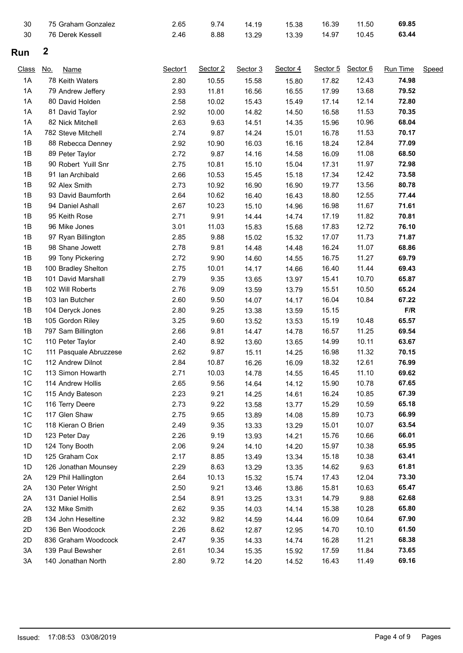| 30             | 75 Graham Gonzalez        | 2.65    | 9.74     | 14.19    | 15.38    | 16.39    | 11.50    | 69.85           |       |
|----------------|---------------------------|---------|----------|----------|----------|----------|----------|-----------------|-------|
| 30             | 76 Derek Kessell          | 2.46    | 8.88     | 13.29    | 13.39    | 14.97    | 10.45    | 63.44           |       |
| Run            | 2                         |         |          |          |          |          |          |                 |       |
| <b>Class</b>   | <u>No.</u><br><b>Name</b> | Sector1 | Sector 2 | Sector 3 | Sector 4 | Sector 5 | Sector 6 | <b>Run Time</b> | Speed |
| 1A             | 78 Keith Waters           | 2.80    | 10.55    | 15.58    | 15.80    | 17.82    | 12.43    | 74.98           |       |
| 1A             | 79 Andrew Jeffery         | 2.93    | 11.81    | 16.56    | 16.55    | 17.99    | 13.68    | 79.52           |       |
| 1A             | 80 David Holden           | 2.58    | 10.02    | 15.43    | 15.49    | 17.14    | 12.14    | 72.80           |       |
| 1A             | 81 David Taylor           | 2.92    | 10.00    | 14.82    | 14.50    | 16.58    | 11.53    | 70.35           |       |
| 1A             | 82 Nick Mitchell          | 2.63    | 9.63     | 14.51    | 14.35    | 15.96    | 10.96    | 68.04           |       |
| 1A             | 782 Steve Mitchell        | 2.74    | 9.87     | 14.24    | 15.01    | 16.78    | 11.53    | 70.17           |       |
| 1B             | 88 Rebecca Denney         | 2.92    | 10.90    | 16.03    | 16.16    | 18.24    | 12.84    | 77.09           |       |
| 1B             | 89 Peter Taylor           | 2.72    | 9.87     | 14.16    | 14.58    | 16.09    | 11.08    | 68.50           |       |
| 1B             | 90 Robert Yuill Snr       | 2.75    | 10.81    | 15.10    | 15.04    | 17.31    | 11.97    | 72.98           |       |
| 1B             | 91 Ian Archibald          | 2.66    | 10.53    | 15.45    | 15.18    | 17.34    | 12.42    | 73.58           |       |
| 1B             | 92 Alex Smith             | 2.73    | 10.92    | 16.90    | 16.90    | 19.77    | 13.56    | 80.78           |       |
| 1B             | 93 David Baumforth        | 2.64    | 10.62    | 16.40    | 16.43    | 18.80    | 12.55    | 77.44           |       |
| 1B             | 94 Daniel Ashall          | 2.67    | 10.23    | 15.10    | 14.96    | 16.98    | 11.67    | 71.61           |       |
| 1B             | 95 Keith Rose             | 2.71    | 9.91     | 14.44    | 14.74    | 17.19    | 11.82    | 70.81           |       |
| 1B             | 96 Mike Jones             | 3.01    | 11.03    | 15.83    | 15.68    | 17.83    | 12.72    | 76.10           |       |
| 1B             | 97 Ryan Billington        | 2.85    | 9.88     | 15.02    | 15.32    | 17.07    | 11.73    | 71.87           |       |
| 1B             | 98 Shane Jowett           | 2.78    | 9.81     | 14.48    | 14.48    | 16.24    | 11.07    | 68.86           |       |
| 1B             | 99 Tony Pickering         | 2.72    | 9.90     | 14.60    | 14.55    | 16.75    | 11.27    | 69.79           |       |
| 1B             | 100 Bradley Shelton       | 2.75    | 10.01    | 14.17    | 14.66    | 16.40    | 11.44    | 69.43           |       |
| 1B             | 101 David Marshall        | 2.79    | 9.35     | 13.65    | 13.97    | 15.41    | 10.70    | 65.87           |       |
| 1B             | 102 Will Roberts          | 2.76    | 9.09     | 13.59    | 13.79    | 15.51    | 10.50    | 65.24           |       |
| 1B             | 103 Ian Butcher           | 2.60    | 9.50     | 14.07    | 14.17    | 16.04    | 10.84    | 67.22           |       |
| 1B             | 104 Deryck Jones          | 2.80    | 9.25     | 13.38    | 13.59    | 15.15    |          | F/R             |       |
| 1B             | 105 Gordon Riley          | 3.25    | 9.60     | 13.52    | 13.53    | 15.19    | 10.48    | 65.57           |       |
| 1B             | 797 Sam Billington        | 2.66    | 9.81     | 14.47    | 14.78    | 16.57    | 11.25    | 69.54           |       |
| 1 <sup>C</sup> | 110 Peter Taylor          | 2.40    | 8.92     | 13.60    | 13.65    | 14.99    | 10.11    | 63.67           |       |
| 1C             | 111 Pasquale Abruzzese    | 2.62    | 9.87     | 15.11    | 14.25    | 16.98    | 11.32    | 70.15           |       |
| 1C             | 112 Andrew Dilnot         | 2.84    | 10.87    | 16.26    | 16.09    | 18.32    | 12.61    | 76.99           |       |
| 1C             | 113 Simon Howarth         | 2.71    | 10.03    | 14.78    | 14.55    | 16.45    | 11.10    | 69.62           |       |
| 1C             | 114 Andrew Hollis         | 2.65    | 9.56     | 14.64    | 14.12    | 15.90    | 10.78    | 67.65           |       |
| 1C             | 115 Andy Bateson          | 2.23    | 9.21     | 14.25    | 14.61    | 16.24    | 10.85    | 67.39           |       |
| 1C             | 116 Terry Deere           | 2.73    | 9.22     | 13.58    | 13.77    | 15.29    | 10.59    | 65.18           |       |
| 1C             | 117 Glen Shaw             | 2.75    | 9.65     | 13.89    | 14.08    | 15.89    | 10.73    | 66.99           |       |
| 1C             | 118 Kieran O Brien        | 2.49    | 9.35     | 13.33    | 13.29    | 15.01    | 10.07    | 63.54           |       |
| 1D             | 123 Peter Day             | 2.26    | 9.19     | 13.93    | 14.21    | 15.76    | 10.66    | 66.01           |       |
| 1D             | 124 Tony Booth            | 2.06    | 9.24     | 14.10    | 14.20    | 15.97    | 10.38    | 65.95           |       |
| 1D             | 125 Graham Cox            | 2.17    | 8.85     | 13.49    | 13.34    | 15.18    | 10.38    | 63.41           |       |
| 1D             | 126 Jonathan Mounsey      | 2.29    | 8.63     | 13.29    | 13.35    | 14.62    | 9.63     | 61.81           |       |
| 2A             | 129 Phil Hallington       | 2.64    | 10.13    | 15.32    | 15.74    | 17.43    | 12.04    | 73.30           |       |
| 2A             | 130 Peter Wright          | 2.50    | 9.21     | 13.46    | 13.86    | 15.81    | 10.63    | 65.47           |       |
| 2A             | 131 Daniel Hollis         | 2.54    | 8.91     | 13.25    | 13.31    | 14.79    | 9.88     | 62.68           |       |
| 2A             | 132 Mike Smith            | 2.62    | 9.35     | 14.03    | 14.14    | 15.38    | 10.28    | 65.80           |       |
| 2B             | 134 John Heseltine        | 2.32    | 9.82     | 14.59    | 14.44    | 16.09    | 10.64    | 67.90           |       |
| 2D             | 136 Ben Woodcock          | 2.26    | 8.62     | 12.87    | 12.95    | 14.70    | 10.10    | 61.50           |       |
| 2D             | 836 Graham Woodcock       | 2.47    | 9.35     | 14.33    | 14.74    | 16.28    | 11.21    | 68.38           |       |
| 3A             | 139 Paul Bewsher          | 2.61    | 10.34    | 15.35    | 15.92    | 17.59    | 11.84    | 73.65           |       |
| 3A             | 140 Jonathan North        | 2.80    | 9.72     | 14.20    | 14.52    | 16.43    | 11.49    | 69.16           |       |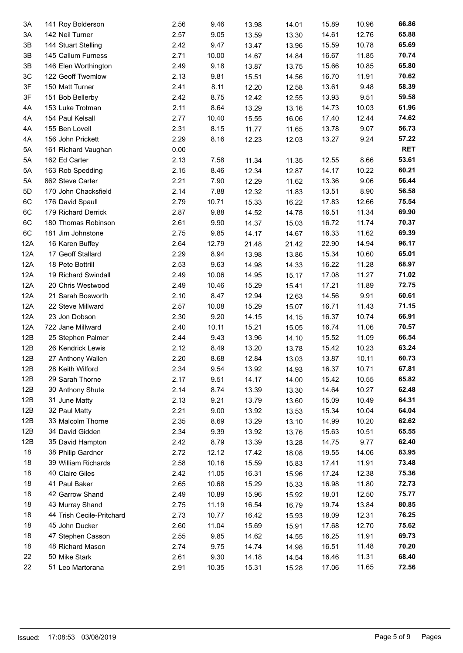| 3A  | 141 Roy Bolderson         | 2.56 | 9.46  | 13.98 | 14.01 | 15.89 | 10.96          | 66.86      |
|-----|---------------------------|------|-------|-------|-------|-------|----------------|------------|
| 3A  | 142 Neil Turner           | 2.57 | 9.05  | 13.59 | 13.30 | 14.61 | 12.76          | 65.88      |
| 3B  | 144 Stuart Stelling       | 2.42 | 9.47  | 13.47 | 13.96 | 15.59 | 10.78          | 65.69      |
| 3B  | 145 Callum Furness        | 2.71 | 10.00 | 14.67 | 14.84 | 16.67 | 11.85          | 70.74      |
| 3B  | 146 Elen Worthington      | 2.49 | 9.18  | 13.87 | 13.75 | 15.66 | 10.85          | 65.80      |
| 3C  | 122 Geoff Twemlow         | 2.13 | 9.81  | 15.51 | 14.56 | 16.70 | 11.91          | 70.62      |
| 3F  | 150 Matt Turner           | 2.41 | 8.11  | 12.20 | 12.58 | 13.61 | 9.48           | 58.39      |
| 3F  | 151 Bob Bellerby          | 2.42 | 8.75  | 12.42 | 12.55 | 13.93 | 9.51           | 59.58      |
| 4A  | 153 Luke Trotman          | 2.11 | 8.64  | 13.29 | 13.16 | 14.73 | 10.03          | 61.96      |
| 4A  | 154 Paul Kelsall          | 2.77 | 10.40 | 15.55 | 16.06 | 17.40 | 12.44          | 74.62      |
| 4A  | 155 Ben Lovell            | 2.31 | 8.15  | 11.77 | 11.65 | 13.78 | 9.07           | 56.73      |
| 4A  | 156 John Prickett         | 2.29 | 8.16  | 12.23 | 12.03 | 13.27 | 9.24           | 57.22      |
| 5A  | 161 Richard Vaughan       | 0.00 |       |       |       |       |                | <b>RET</b> |
| 5A  | 162 Ed Carter             | 2.13 | 7.58  | 11.34 | 11.35 | 12.55 | 8.66           | 53.61      |
| 5A  | 163 Rob Spedding          | 2.15 | 8.46  | 12.34 | 12.87 | 14.17 | 10.22          | 60.21      |
| 5A  | 862 Steve Carter          | 2.21 | 7.90  | 12.29 | 11.62 | 13.36 | 9.06           | 56.44      |
| 5D  | 170 John Chacksfield      | 2.14 | 7.88  | 12.32 | 11.83 | 13.51 | 8.90           | 56.58      |
| 6C  | 176 David Spaull          | 2.79 | 10.71 | 15.33 | 16.22 | 17.83 | 12.66          | 75.54      |
| 6C  | 179 Richard Derrick       | 2.87 | 9.88  | 14.52 | 14.78 | 16.51 | 11.34          | 69.90      |
| 6C  | 180 Thomas Robinson       | 2.61 | 9.90  | 14.37 | 15.03 | 16.72 | 11.74          | 70.37      |
| 6C  | 181 Jim Johnstone         | 2.75 | 9.85  | 14.17 | 14.67 | 16.33 | 11.62          | 69.39      |
| 12A | 16 Karen Buffey           | 2.64 | 12.79 | 21.48 | 21.42 | 22.90 | 14.94          | 96.17      |
| 12A | 17 Geoff Stallard         | 2.29 | 8.94  | 13.98 | 13.86 | 15.34 | 10.60          | 65.01      |
| 12A | 18 Pete Bottrill          | 2.53 | 9.63  | 14.98 | 14.33 | 16.22 | 11.28          | 68.97      |
| 12A | 19 Richard Swindall       | 2.49 | 10.06 | 14.95 | 15.17 | 17.08 | 11.27          | 71.02      |
| 12A | 20 Chris Westwood         | 2.49 | 10.46 | 15.29 | 15.41 | 17.21 | 11.89          | 72.75      |
| 12A | 21 Sarah Bosworth         | 2.10 | 8.47  | 12.94 | 12.63 | 14.56 | 9.91           | 60.61      |
| 12A | 22 Steve Millward         | 2.57 | 10.08 | 15.29 | 15.07 | 16.71 | 11.43          | 71.15      |
| 12A | 23 Jon Dobson             | 2.30 | 9.20  | 14.15 | 14.15 | 16.37 | 10.74          | 66.91      |
| 12A | 722 Jane Millward         | 2.40 | 10.11 | 15.21 | 15.05 | 16.74 | 11.06          | 70.57      |
| 12B | 25 Stephen Palmer         | 2.44 | 9.43  | 13.96 | 14.10 | 15.52 | 11.09          | 66.54      |
| 12B | 26 Kendrick Lewis         | 2.12 | 8.49  | 13.20 | 13.78 | 15.42 | 10.23          | 63.24      |
| 12B | 27 Anthony Wallen         | 2.20 | 8.68  | 12.84 | 13.03 | 13.87 | 10.11          | 60.73      |
| 12B | 28 Keith Wilford          | 2.34 | 9.54  | 13.92 | 14.93 | 16.37 | 10.71          | 67.81      |
| 12B | 29 Sarah Thorne           | 2.17 | 9.51  | 14.17 | 14.00 | 15.42 | 10.55          | 65.82      |
| 12B | 30 Anthony Shute          | 2.14 | 8.74  | 13.39 | 13.30 | 14.64 | 10.27          | 62.48      |
| 12B | 31 June Matty             | 2.13 | 9.21  | 13.79 | 13.60 | 15.09 | 10.49          | 64.31      |
| 12B | 32 Paul Matty             | 2.21 | 9.00  | 13.92 |       | 15.34 | 10.04          | 64.04      |
| 12B | 33 Malcolm Thorne         | 2.35 | 8.69  | 13.29 | 13.53 | 14.99 | 10.20          | 62.62      |
| 12B | 34 David Gidden           | 2.34 | 9.39  |       | 13.10 | 15.63 | 10.51          | 65.55      |
| 12B | 35 David Hampton          | 2.42 | 8.79  | 13.92 | 13.76 | 14.75 | 9.77           | 62.40      |
| 18  | 38 Philip Gardner         | 2.72 | 12.12 | 13.39 | 13.28 | 19.55 | 14.06          | 83.95      |
| 18  |                           | 2.58 | 10.16 | 17.42 | 18.08 | 17.41 |                | 73.48      |
|     | 39 William Richards       |      |       | 15.59 | 15.83 |       | 11.91<br>12.38 | 75.36      |
| 18  | 40 Claire Giles           | 2.42 | 11.05 | 16.31 | 15.96 | 17.24 |                |            |
| 18  | 41 Paul Baker             | 2.65 | 10.68 | 15.29 | 15.33 | 16.98 | 11.80          | 72.73      |
| 18  | 42 Garrow Shand           | 2.49 | 10.89 | 15.96 | 15.92 | 18.01 | 12.50          | 75.77      |
| 18  | 43 Murray Shand           | 2.75 | 11.19 | 16.54 | 16.79 | 19.74 | 13.84          | 80.85      |
| 18  | 44 Trish Cecile-Pritchard | 2.73 | 10.77 | 16.42 | 15.93 | 18.09 | 12.31          | 76.25      |
| 18  | 45 John Ducker            | 2.60 | 11.04 | 15.69 | 15.91 | 17.68 | 12.70          | 75.62      |
| 18  | 47 Stephen Casson         | 2.55 | 9.85  | 14.62 | 14.55 | 16.25 | 11.91          | 69.73      |
| 18  | 48 Richard Mason          | 2.74 | 9.75  | 14.74 | 14.98 | 16.51 | 11.48          | 70.20      |
| 22  | 50 Mike Stark             | 2.61 | 9.30  | 14.18 | 14.54 | 16.46 | 11.31          | 68.40      |
| 22  | 51 Leo Martorana          | 2.91 | 10.35 | 15.31 | 15.28 | 17.06 | 11.65          | 72.56      |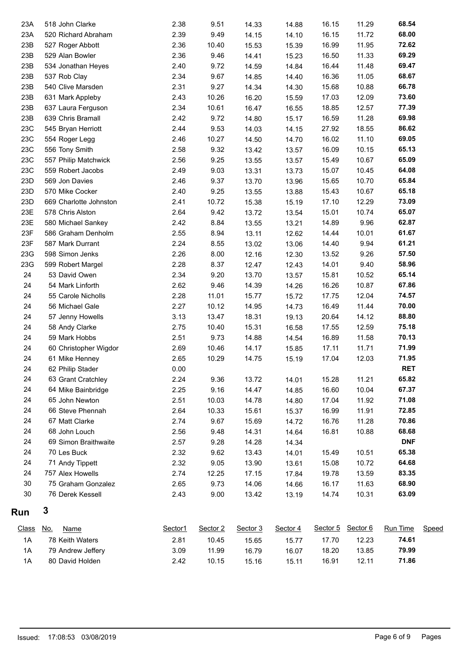| 23A          | 518 John Clarke           | 2.38    | 9.51     | 14.33    | 14.88    | 16.15    | 11.29    | 68.54      |       |
|--------------|---------------------------|---------|----------|----------|----------|----------|----------|------------|-------|
| 23A          | 520 Richard Abraham       | 2.39    | 9.49     | 14.15    | 14.10    | 16.15    | 11.72    | 68.00      |       |
| 23B          | 527 Roger Abbott          | 2.36    | 10.40    | 15.53    | 15.39    | 16.99    | 11.95    | 72.62      |       |
| 23B          | 529 Alan Bowler           | 2.36    | 9.46     | 14.41    | 15.23    | 16.50    | 11.33    | 69.29      |       |
| 23B          | 534 Jonathan Heyes        | 2.40    | 9.72     | 14.59    | 14.84    | 16.44    | 11.48    | 69.47      |       |
| 23B          | 537 Rob Clay              | 2.34    | 9.67     | 14.85    | 14.40    | 16.36    | 11.05    | 68.67      |       |
| 23B          | 540 Clive Marsden         | 2.31    | 9.27     | 14.34    | 14.30    | 15.68    | 10.88    | 66.78      |       |
| 23B          | 631 Mark Appleby          | 2.43    | 10.26    | 16.20    | 15.59    | 17.03    | 12.09    | 73.60      |       |
| 23B          | 637 Laura Ferguson        | 2.34    | 10.61    | 16.47    | 16.55    | 18.85    | 12.57    | 77.39      |       |
| 23B          | 639 Chris Bramall         | 2.42    | 9.72     | 14.80    | 15.17    | 16.59    | 11.28    | 69.98      |       |
| 23C          | 545 Bryan Herriott        | 2.44    | 9.53     | 14.03    | 14.15    | 27.92    | 18.55    | 86.62      |       |
| 23C          | 554 Roger Legg            | 2.46    | 10.27    | 14.50    | 14.70    | 16.02    | 11.10    | 69.05      |       |
| 23C          | 556 Tony Smith            | 2.58    | 9.32     | 13.42    | 13.57    | 16.09    | 10.15    | 65.13      |       |
| 23C          | 557 Philip Matchwick      | 2.56    | 9.25     | 13.55    | 13.57    | 15.49    | 10.67    | 65.09      |       |
| 23C          | 559 Robert Jacobs         | 2.49    | 9.03     | 13.31    | 13.73    | 15.07    | 10.45    | 64.08      |       |
| 23D          | 569 Jon Davies            | 2.46    | 9.37     | 13.70    | 13.96    | 15.65    | 10.70    | 65.84      |       |
| 23D          | 570 Mike Cocker           | 2.40    | 9.25     | 13.55    | 13.88    | 15.43    | 10.67    | 65.18      |       |
| 23D          | 669 Charlotte Johnston    | 2.41    | 10.72    | 15.38    | 15.19    | 17.10    | 12.29    | 73.09      |       |
| 23E          | 578 Chris Alston          | 2.64    | 9.42     | 13.72    | 13.54    | 15.01    | 10.74    | 65.07      |       |
| 23E          | 580 Michael Sankey        | 2.42    | 8.84     | 13.55    | 13.21    | 14.89    | 9.96     | 62.87      |       |
| 23F          | 586 Graham Denholm        | 2.55    | 8.94     | 13.11    | 12.62    | 14.44    | 10.01    | 61.67      |       |
| 23F          | 587 Mark Durrant          | 2.24    | 8.55     | 13.02    | 13.06    | 14.40    | 9.94     | 61.21      |       |
| 23G          | 598 Simon Jenks           | 2.26    | 8.00     | 12.16    | 12.30    | 13.52    | 9.26     | 57.50      |       |
| 23G          | 599 Robert Margel         | 2.28    | 8.37     | 12.47    | 12.43    | 14.01    | 9.40     | 58.96      |       |
| 24           | 53 David Owen             | 2.34    | 9.20     | 13.70    | 13.57    | 15.81    | 10.52    | 65.14      |       |
| 24           | 54 Mark Linforth          | 2.62    | 9.46     | 14.39    | 14.26    | 16.26    | 10.87    | 67.86      |       |
| 24           | 55 Carole Nicholls        | 2.28    | 11.01    | 15.77    | 15.72    | 17.75    | 12.04    | 74.57      |       |
| 24           | 56 Michael Gale           | 2.27    | 10.12    | 14.95    | 14.73    | 16.49    | 11.44    | 70.00      |       |
| 24           | 57 Jenny Howells          | 3.13    | 13.47    | 18.31    | 19.13    | 20.64    | 14.12    | 88.80      |       |
| 24           | 58 Andy Clarke            | 2.75    | 10.40    | 15.31    | 16.58    | 17.55    | 12.59    | 75.18      |       |
| 24           | 59 Mark Hobbs             | 2.51    | 9.73     | 14.88    | 14.54    | 16.89    | 11.58    | 70.13      |       |
| 24           | 60 Christopher Wigdor     | 2.69    | 10.46    | 14.17    | 15.85    | 17.11    | 11.71    | 71.99      |       |
| 24           | 61 Mike Henney            | 2.65    | 10.29    | 14.75    | 15.19    | 17.04    | 12.03    | 71.95      |       |
| 24           | 62 Philip Stader          | 0.00    |          |          |          |          |          | <b>RET</b> |       |
| 24           | 63 Grant Cratchley        | 2.24    | 9.36     | 13.72    | 14.01    | 15.28    | 11.21    | 65.82      |       |
| 24           | 64 Mike Bainbridge        | 2.25    | 9.16     | 14.47    | 14.85    | 16.60    | 10.04    | 67.37      |       |
| 24           | 65 John Newton            | 2.51    | 10.03    | 14.78    | 14.80    | 17.04    | 11.92    | 71.08      |       |
| 24           | 66 Steve Phennah          | 2.64    | 10.33    | 15.61    | 15.37    | 16.99    | 11.91    | 72.85      |       |
| 24           | 67 Matt Clarke            | 2.74    | 9.67     | 15.69    | 14.72    | 16.76    | 11.28    | 70.86      |       |
| 24           | 68 John Louch             | 2.56    | 9.48     | 14.31    | 14.64    | 16.81    | 10.88    | 68.68      |       |
| 24           | 69 Simon Braithwaite      | 2.57    | 9.28     | 14.28    | 14.34    |          |          | <b>DNF</b> |       |
| 24           | 70 Les Buck               | 2.32    | 9.62     | 13.43    | 14.01    | 15.49    | 10.51    | 65.38      |       |
| 24           | 71 Andy Tippett           | 2.32    | 9.05     | 13.90    | 13.61    | 15.08    | 10.72    | 64.68      |       |
| 24           | 757 Alex Howells          | 2.74    | 12.25    | 17.15    | 17.84    | 19.78    | 13.59    | 83.35      |       |
| $30\,$       | 75 Graham Gonzalez        | 2.65    | 9.73     | 14.06    | 14.66    | 16.17    | 11.63    | 68.90      |       |
| 30           | 76 Derek Kessell          | 2.43    | 9.00     | 13.42    |          | 14.74    | 10.31    | 63.09      |       |
|              | 3                         |         |          |          | 13.19    |          |          |            |       |
| Run          |                           |         |          |          |          |          |          |            |       |
| <u>Class</u> | <u>No.</u><br><b>Name</b> | Sector1 | Sector 2 | Sector 3 | Sector 4 | Sector 5 | Sector 6 | Run Time   | Speed |
| 1A           | 78 Keith Waters           | 2.81    | 10.45    | 15.65    | 15.77    | 17.70    | 12.23    | 74.61      |       |
| 1A           | 79 Andrew Jeffery         | 3.09    | 11.99    | 16.79    | 16.07    | 18.20    | 13.85    | 79.99      |       |
| 1A           | 80 David Holden           | 2.42    | 10.15    | 15.16    | 15.11    | 16.91    | 12.11    | 71.86      |       |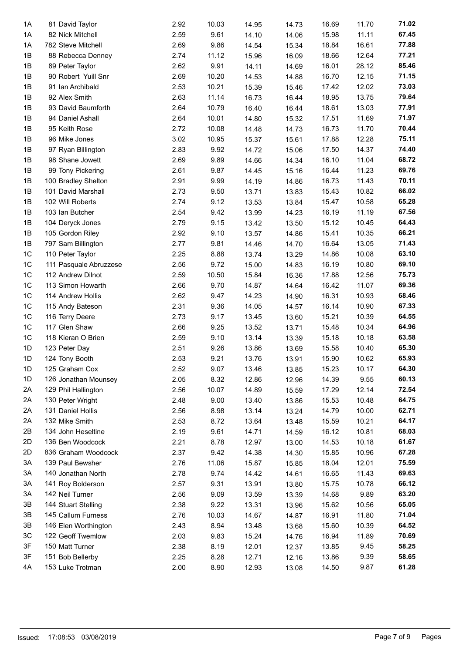| 1A             | 81 David Taylor        | 2.92 | 10.03 | 14.95 | 14.73 | 16.69 | 11.70 | 71.02 |
|----------------|------------------------|------|-------|-------|-------|-------|-------|-------|
| 1A             | 82 Nick Mitchell       | 2.59 | 9.61  | 14.10 | 14.06 | 15.98 | 11.11 | 67.45 |
| 1A             | 782 Steve Mitchell     | 2.69 | 9.86  | 14.54 | 15.34 | 18.84 | 16.61 | 77.88 |
| 1B             | 88 Rebecca Denney      | 2.74 | 11.12 | 15.96 | 16.09 | 18.66 | 12.64 | 77.21 |
| 1B             | 89 Peter Taylor        | 2.62 | 9.91  | 14.11 | 14.69 | 16.01 | 28.12 | 85.46 |
| 1B             | 90 Robert Yuill Snr    | 2.69 | 10.20 | 14.53 | 14.88 | 16.70 | 12.15 | 71.15 |
| 1B             | 91 Ian Archibald       | 2.53 | 10.21 | 15.39 | 15.46 | 17.42 | 12.02 | 73.03 |
| 1B             | 92 Alex Smith          | 2.63 | 11.14 | 16.73 | 16.44 | 18.95 | 13.75 | 79.64 |
| 1B             | 93 David Baumforth     | 2.64 | 10.79 | 16.40 | 16.44 | 18.61 | 13.03 | 77.91 |
| 1B             | 94 Daniel Ashall       | 2.64 | 10.01 | 14.80 | 15.32 | 17.51 | 11.69 | 71.97 |
| 1B             | 95 Keith Rose          | 2.72 | 10.08 | 14.48 | 14.73 | 16.73 | 11.70 | 70.44 |
| 1B             | 96 Mike Jones          | 3.02 | 10.95 | 15.37 | 15.61 | 17.88 | 12.28 | 75.11 |
| 1B             | 97 Ryan Billington     | 2.83 | 9.92  | 14.72 | 15.06 | 17.50 | 14.37 | 74.40 |
| 1B             | 98 Shane Jowett        | 2.69 | 9.89  | 14.66 | 14.34 | 16.10 | 11.04 | 68.72 |
| 1B             | 99 Tony Pickering      | 2.61 | 9.87  | 14.45 | 15.16 | 16.44 | 11.23 | 69.76 |
| 1B             | 100 Bradley Shelton    | 2.91 | 9.99  | 14.19 | 14.86 | 16.73 | 11.43 | 70.11 |
| 1B             | 101 David Marshall     | 2.73 | 9.50  | 13.71 | 13.83 | 15.43 | 10.82 | 66.02 |
| 1B             | 102 Will Roberts       | 2.74 | 9.12  | 13.53 | 13.84 | 15.47 | 10.58 | 65.28 |
| 1B             | 103 Ian Butcher        | 2.54 | 9.42  | 13.99 | 14.23 | 16.19 | 11.19 | 67.56 |
| 1B             | 104 Deryck Jones       | 2.79 | 9.15  | 13.42 | 13.50 | 15.12 | 10.45 | 64.43 |
| 1B             | 105 Gordon Riley       | 2.92 | 9.10  | 13.57 | 14.86 | 15.41 | 10.35 | 66.21 |
| 1B             | 797 Sam Billington     | 2.77 | 9.81  | 14.46 | 14.70 | 16.64 | 13.05 | 71.43 |
| 1C             | 110 Peter Taylor       | 2.25 | 8.88  | 13.74 | 13.29 | 14.86 | 10.08 | 63.10 |
| 1C             | 111 Pasquale Abruzzese | 2.56 | 9.72  | 15.00 | 14.83 | 16.19 | 10.80 | 69.10 |
| 1 <sup>C</sup> | 112 Andrew Dilnot      | 2.59 | 10.50 | 15.84 | 16.36 | 17.88 | 12.56 | 75.73 |
| 1 <sup>C</sup> | 113 Simon Howarth      | 2.66 | 9.70  | 14.87 | 14.64 | 16.42 | 11.07 | 69.36 |
| 1C             | 114 Andrew Hollis      | 2.62 | 9.47  | 14.23 | 14.90 | 16.31 | 10.93 | 68.46 |
| 1 <sup>C</sup> | 115 Andy Bateson       | 2.31 | 9.36  | 14.05 | 14.57 | 16.14 | 10.90 | 67.33 |
| 1 <sup>C</sup> | 116 Terry Deere        | 2.73 | 9.17  | 13.45 | 13.60 | 15.21 | 10.39 | 64.55 |
| 1 <sup>C</sup> | 117 Glen Shaw          | 2.66 | 9.25  | 13.52 | 13.71 | 15.48 | 10.34 | 64.96 |
| 1 <sup>C</sup> | 118 Kieran O Brien     | 2.59 | 9.10  | 13.14 | 13.39 | 15.18 | 10.18 | 63.58 |
| 1D             | 123 Peter Day          | 2.51 | 9.26  | 13.86 | 13.69 | 15.58 | 10.40 | 65.30 |
| 1D             | 124 Tony Booth         | 2.53 | 9.21  | 13.76 | 13.91 | 15.90 | 10.62 | 65.93 |
| $1D$           | 125 Graham Cox         | 2.52 | 9.07  | 13.46 | 13.85 | 15.23 | 10.17 | 64.30 |
| 1D             | 126 Jonathan Mounsey   | 2.05 | 8.32  | 12.86 | 12.96 | 14.39 | 9.55  | 60.13 |
| 2A             | 129 Phil Hallington    | 2.56 | 10.07 | 14.89 | 15.59 | 17.29 | 12.14 | 72.54 |
| 2A             | 130 Peter Wright       | 2.48 | 9.00  | 13.40 | 13.86 | 15.53 | 10.48 | 64.75 |
| 2A             | 131 Daniel Hollis      | 2.56 | 8.98  | 13.14 | 13.24 | 14.79 | 10.00 | 62.71 |
| 2A             | 132 Mike Smith         | 2.53 | 8.72  | 13.64 | 13.48 | 15.59 | 10.21 | 64.17 |
| 2B             | 134 John Heseltine     | 2.19 | 9.61  | 14.71 | 14.59 | 16.12 | 10.81 | 68.03 |
| 2D             | 136 Ben Woodcock       | 2.21 | 8.78  | 12.97 | 13.00 | 14.53 | 10.18 | 61.67 |
| 2D             | 836 Graham Woodcock    | 2.37 | 9.42  | 14.38 | 14.30 | 15.85 | 10.96 | 67.28 |
| 3A             | 139 Paul Bewsher       | 2.76 | 11.06 | 15.87 | 15.85 | 18.04 | 12.01 | 75.59 |
| 3A             | 140 Jonathan North     | 2.78 | 9.74  | 14.42 | 14.61 | 16.65 | 11.43 | 69.63 |
| 3A             |                        | 2.57 | 9.31  |       |       | 15.75 | 10.78 | 66.12 |
|                | 141 Roy Bolderson      |      |       | 13.91 | 13.80 |       | 9.89  | 63.20 |
| 3A             | 142 Neil Turner        | 2.56 | 9.09  | 13.59 | 13.39 | 14.68 |       | 65.05 |
| 3B             | 144 Stuart Stelling    | 2.38 | 9.22  | 13.31 | 13.96 | 15.62 | 10.56 |       |
| 3B             | 145 Callum Furness     | 2.76 | 10.03 | 14.67 | 14.87 | 16.91 | 11.80 | 71.04 |
| 3B             | 146 Elen Worthington   | 2.43 | 8.94  | 13.48 | 13.68 | 15.60 | 10.39 | 64.52 |
| 3C             | 122 Geoff Twemlow      | 2.03 | 9.83  | 15.24 | 14.76 | 16.94 | 11.89 | 70.69 |
| 3F             | 150 Matt Turner        | 2.38 | 8.19  | 12.01 | 12.37 | 13.85 | 9.45  | 58.25 |
| 3F             | 151 Bob Bellerby       | 2.25 | 8.28  | 12.71 | 12.16 | 13.86 | 9.39  | 58.65 |
| 4A             | 153 Luke Trotman       | 2.00 | 8.90  | 12.93 | 13.08 | 14.50 | 9.87  | 61.28 |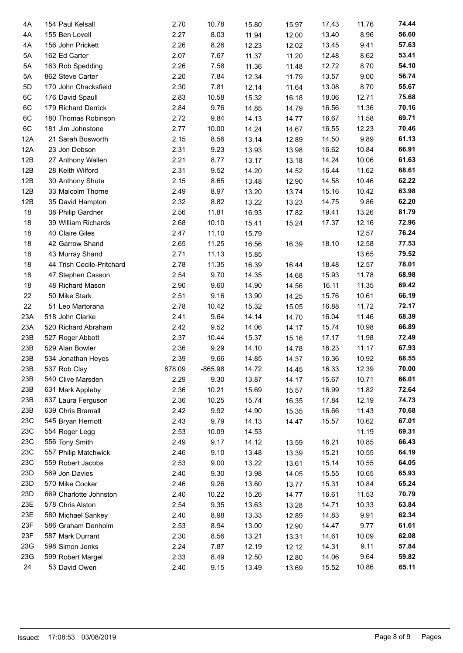| 4A  | 154 Paul Kelsall          | 2.70   | 10.78        | 15.80 | 15.97 | 17.43 | 11.76 | 74.44 |  |
|-----|---------------------------|--------|--------------|-------|-------|-------|-------|-------|--|
| 4A  | 155 Ben Lovell            | 2.27   | 8.03         | 11.94 | 12.00 | 13.40 | 8.96  | 56.60 |  |
| 4A  | 156 John Prickett         | 2.26   | 8.26         | 12.23 | 12.02 | 13.45 | 9.41  | 57.63 |  |
| 5A  | 162 Ed Carter             | 2.07   | 7.67         | 11.37 | 11.20 | 12.48 | 8.62  | 53.41 |  |
| 5A  | 163 Rob Spedding          | 2.26   | 7.58         | 11.36 | 11.48 | 12.72 | 8.70  | 54.10 |  |
| 5A  | 862 Steve Carter          | 2.20   | 7.84         | 12.34 | 11.79 | 13.57 | 9.00  | 56.74 |  |
| 5D  | 170 John Chacksfield      | 2.30   | 7.81         | 12.14 | 11.64 | 13.08 | 8.70  | 55.67 |  |
| 6C  | 176 David Spaull          | 2.83   | 10.58        | 15.32 | 16.18 | 18.06 | 12.71 | 75.68 |  |
| 6C  | 179 Richard Derrick       | 2.84   | 9.76         | 14.85 | 14.79 | 16.56 | 11.36 | 70.16 |  |
| 6C  | 180 Thomas Robinson       | 2.72   | 9.84         | 14.13 | 14.77 | 16.67 | 11.58 | 69.71 |  |
| 6C  | 181 Jim Johnstone         | 2.77   | 10.00        | 14.24 | 14.67 | 16.55 | 12.23 | 70.46 |  |
| 12A | 21 Sarah Bosworth         | 2.15   | 8.56         | 13.14 | 12.89 | 14.50 | 9.89  | 61.13 |  |
| 12A | 23 Jon Dobson             | 2.31   | 9.23         | 13.93 | 13.98 | 16.62 | 10.84 | 66.91 |  |
| 12B | 27 Anthony Wallen         | 2.21   | 8.77         | 13.17 | 13.18 | 14.24 | 10.06 | 61.63 |  |
| 12B | 28 Keith Wilford          | 2.31   | 9.52         | 14.20 | 14.52 | 16.44 | 11.62 | 68.61 |  |
| 12B | 30 Anthony Shute          | 2.15   | 8.65         | 13.48 | 12.90 | 14.58 | 10.46 | 62.22 |  |
| 12B | 33 Malcolm Thorne         | 2.49   | 8.97         | 13.20 | 13.74 | 15.16 | 10.42 | 63.98 |  |
| 12B | 35 David Hampton          | 2.32   | 8.82         | 13.22 | 13.23 | 14.75 | 9.86  | 62.20 |  |
| 18  | 38 Philip Gardner         | 2.56   | 11.81        | 16.93 | 17.82 | 19.41 | 13.26 | 81.79 |  |
| 18  | 39 William Richards       | 2.68   | 10.10        | 15.41 | 15.24 | 17.37 | 12.16 | 72.96 |  |
| 18  | 40 Claire Giles           | 2.47   | 11.10        | 15.79 |       |       | 12.57 | 76.24 |  |
| 18  | 42 Garrow Shand           | 2.65   | 11.25        | 16.56 | 16.39 | 18.10 | 12.58 | 77.53 |  |
| 18  | 43 Murray Shand           | 2.71   | 11.13        | 15.85 |       |       | 13.65 | 79.52 |  |
| 18  | 44 Trish Cecile-Pritchard | 2.78   | 11.35        | 16.39 | 16.44 | 18.48 | 12.57 | 78.01 |  |
| 18  | 47 Stephen Casson         | 2.54   | 9.70         | 14.35 | 14.68 | 15.93 | 11.78 | 68.98 |  |
| 18  | 48 Richard Mason          | 2.90   | 9.60         | 14.90 | 14.56 | 16.11 | 11.35 | 69.42 |  |
| 22  | 50 Mike Stark             | 2.51   | 9.16         | 13.90 | 14.25 | 15.76 | 10.61 | 66.19 |  |
| 22  | 51 Leo Martorana          | 2.78   | 10.42        | 15.32 | 15.05 | 16.88 | 11.72 | 72.17 |  |
| 23A | 518 John Clarke           | 2.41   | 9.64         | 14.14 | 14.70 | 16.04 | 11.46 | 68.39 |  |
| 23A | 520 Richard Abraham       | 2.42   | 9.52         | 14.06 | 14.17 | 15.74 | 10.98 | 66.89 |  |
| 23B | 527 Roger Abbott          | 2.37   | 10.44        | 15.37 | 15.16 | 17.17 | 11.98 | 72.49 |  |
| 23B | 529 Alan Bowler           | 2.36   | 9.29         | 14.10 | 14.78 | 16.23 | 11.17 | 67.93 |  |
| 23B | 534 Jonathan Heyes        | 2.39   | 9.66         | 14.85 | 14.37 | 16.36 | 10.92 | 68.55 |  |
| 23B | 537 Rob Clay              | 878.09 | $-865.98$    | 14.72 | 14.45 | 16.33 | 12.39 | 70.00 |  |
| 23B | 540 Clive Marsden         | 2.29   | 9.30         | 13.87 | 14.17 | 15.67 | 10.71 | 66.01 |  |
| 23B | 631 Mark Appleby          | 2.36   | 10.21        | 15.69 | 15.57 | 16.99 | 11.82 | 72.64 |  |
| 23B | 637 Laura Ferguson        | 2.36   | 10.25        | 15.74 |       | 17.84 | 12.19 | 74.73 |  |
| 23B | 639 Chris Bramall         |        |              |       | 16.35 |       | 11.43 | 70.68 |  |
| 23C |                           | 2.42   | 9.92<br>9.79 | 14.90 | 15.35 | 16.66 | 10.62 | 67.01 |  |
|     | 545 Bryan Herriott        | 2.43   |              | 14.13 | 14.47 | 15.57 | 11.19 | 69.31 |  |
| 23C | 554 Roger Legg            | 2.53   | 10.09        | 14.53 |       |       |       | 66.43 |  |
| 23C | 556 Tony Smith            | 2.49   | 9.17         | 14.12 | 13.59 | 16.21 | 10.85 |       |  |
| 23C | 557 Philip Matchwick      | 2.46   | 9.10         | 13.48 | 13.39 | 15.21 | 10.55 | 64.19 |  |
| 23C | 559 Robert Jacobs         | 2.53   | 9.00         | 13.22 | 13.61 | 15.14 | 10.55 | 64.05 |  |
| 23D | 569 Jon Davies            | 2.40   | 9.30         | 13.98 | 14.05 | 15.55 | 10.65 | 65.93 |  |
| 23D | 570 Mike Cocker           | 2.46   | 9.26         | 13.60 | 13.77 | 15.31 | 10.84 | 65.24 |  |
| 23D | 669 Charlotte Johnston    | 2.40   | 10.22        | 15.26 | 14.77 | 16.61 | 11.53 | 70.79 |  |
| 23E | 578 Chris Alston          | 2.54   | 9.35         | 13.63 | 13.28 | 14.71 | 10.33 | 63.84 |  |
| 23E | 580 Michael Sankey        | 2.40   | 8.98         | 13.33 | 12.89 | 14.83 | 9.91  | 62.34 |  |
| 23F | 586 Graham Denholm        | 2.53   | 8.94         | 13.00 | 12.90 | 14.47 | 9.77  | 61.61 |  |
| 23F | 587 Mark Durrant          | 2.30   | 8.56         | 13.21 | 13.31 | 14.61 | 10.09 | 62.08 |  |
| 23G | 598 Simon Jenks           | 2.24   | 7.87         | 12.19 | 12.12 | 14.31 | 9.11  | 57.84 |  |
| 23G | 599 Robert Margel         | 2.33   | 8.49         | 12.50 | 12.80 | 14.06 | 9.64  | 59.82 |  |
| 24  | 53 David Owen             | 2.40   | 9.15         | 13.49 | 13.69 | 15.52 | 10.86 | 65.11 |  |